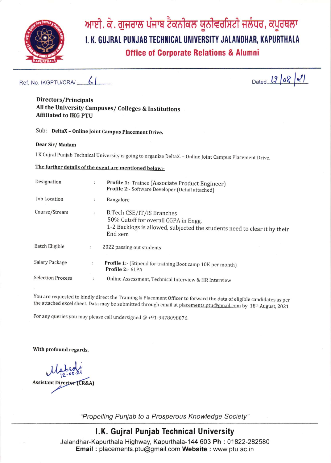

# ਆਈ. ਕੇ. ਗੁਜਰਾਲ ਪੰਜਾਬ ਟੈਕਨੀਕਲ ਯੂਨੀਵਰਸਿਟੀ ਜਲੰਧਰ, ਕਪੂਰਥਲਾ I. K. GUJRAL PUNJAB TECHNICAL UNIVERSITY JALANDHAR, KAPURTHALA **Office of Corporate Relations & Alumni**

#### $\mathcal{L}$ Ref. No. IKGPTU/CRA/

Dated  $1208$   $21$ 

#### Directors/Principals All the University Campuses/ Colleges & Institutions **Affiliated to IKG PTU**

Sub: DeltaX - Online Joint Campus Placement Drive.

#### Dear Sir/Madam

I K Gujral Punjab Technical University is going to organize DeltaX. - Online Joint Campus Placement Drive.

# The further details of the event are mentioned below:-

| Designation              | ÷                    | Profile 1:- Trainee (Associate Product Engineer)<br>Profile 2:- Software Developer (Detail attached)                                                      |  |  |
|--------------------------|----------------------|-----------------------------------------------------------------------------------------------------------------------------------------------------------|--|--|
| Job Location             | $\ddot{\cdot}$       | <b>Bangalore</b>                                                                                                                                          |  |  |
| Course/Stream            | $\ddot{\cdot}$       | B.Tech CSE/IT/IS Branches<br>50% Cutoff for overall CGPA in Engg.<br>1-2 Backlogs is allowed, subjected the students need to clear it by their<br>End sem |  |  |
| Batch Eligible           | $\ddot{\phantom{a}}$ | 2022 passing out students                                                                                                                                 |  |  |
| Salary Package           | ÷                    | Profile 1:- (Stipend for training Boot camp 10K per month)<br>Profile 2:- 6LPA                                                                            |  |  |
| <b>Selection Process</b> | ÷                    | Online Assessment, Technical Interview & HR Interview                                                                                                     |  |  |

You are requested to kindly direct the Training & Placement Officer to forward the data of eligible candidates as per the attached excel sheet. Data may be submitted through email at placements.ptu@gmail.com by 18<sup>th</sup> August, 2021

For any queries you may please call undersigned  $@ + 91 - 9478098076$ .

With profound regards,

**Assistant Director (CR&A)** 

"Propelling Punjab to a Prosperous Knowledge Society"

# I.K. Gujral Punjab Technical University

Jalandhar-Kapurthala Highway, Kapurthala-144 603 Ph: 01822-282580 Email: placements.ptu@gmail.com Website: www.ptu.ac.in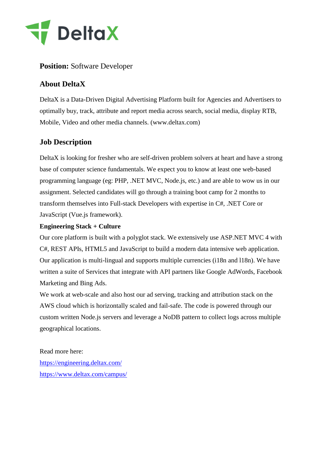

### **Position:** Software Developer

# **About DeltaX**

DeltaX is a Data-Driven Digital Advertising Platform built for Agencies and Advertisers to optimally buy, track, attribute and report media across search, social media, display RTB, Mobile, Video and other media channels. (www.deltax.com)

## **Job Description**

DeltaX is looking for fresher who are self-driven problem solvers at heart and have a strong base of computer science fundamentals. We expect you to know at least one web-based programming language (eg: PHP, .NET MVC, Node.js, etc.) and are able to wow us in our assignment. Selected candidates will go through a training boot camp for 2 months to transform themselves into Full-stack Developers with expertise in C#, .NET Core or JavaScript (Vue.js framework).

#### **Engineering Stack + Culture**

Our core platform is built with a polyglot stack. We extensively use ASP.NET MVC 4 with C#, REST APIs, HTML5 and JavaScript to build a modern data intensive web application. Our application is multi-lingual and supports multiple currencies (i18n and l18n). We have written a suite of Services that integrate with API partners like Google AdWords, Facebook Marketing and Bing Ads.

We work at web-scale and also host our ad serving, tracking and attribution stack on the AWS cloud which is horizontally scaled and fail-safe. The code is powered through our custom written Node.js servers and leverage a NoDB pattern to collect logs across multiple geographical locations.

#### Read more here:

<https://engineering.deltax.com/> <https://www.deltax.com/campus/>